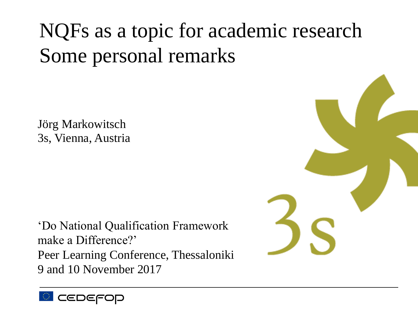# NQFs as a topic for academic research Some personal remarks

Jörg Markowitsch 3s, Vienna, Austria

'Do National Qualification Framework make a Difference?' Peer Learning Conference, Thessaloniki 9 and 10 November 2017



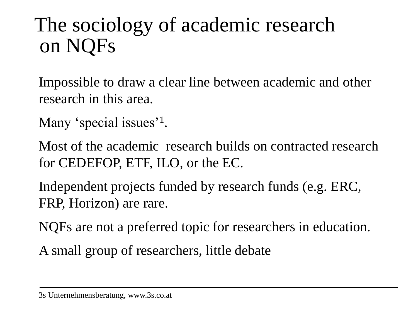## The sociology of academic research on NQFs

Impossible to draw a clear line between academic and other research in this area.

Many 'special issues'<sup>1</sup>.

Most of the academic research builds on contracted research for CEDEFOP, ETF, ILO, or the EC.

Independent projects funded by research funds (e.g. ERC, FRP, Horizon) are rare.

NQFs are not a preferred topic for researchers in education.

A small group of researchers, little debate

<sup>3</sup>s Unternehmensberatung, www.3s.co.at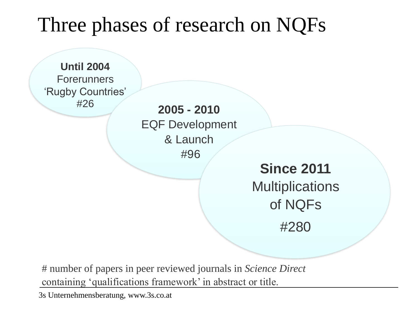## Three phases of research on NQFs

**Until 2004 Forerunners** 'Rugby Countries'

#26 **2005 - <sup>2010</sup>** EQF Development & Launch #96

**Since 2011 Multiplications** of NQFs #280

# number of papers in peer reviewed journals in *Science Direct*  containing 'qualifications framework' in abstract or title.

3s Unternehmensberatung, www.3s.co.at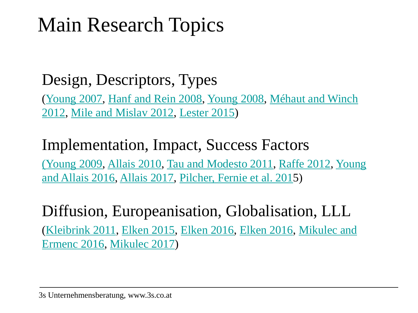## Main Research Topics

#### Design, Descriptors, Types

(Young 2007, Hanf and Rein 2008, Young 2008, Méhaut and Winch 2012, Mile and Mislav 2012, Lester 2015)

#### Implementation, Impact, Success Factors

(Young 2009, Allais 2010, Tau and Modesto 2011, Raffe 2012, Young and Allais 2016, Allais 2017, Pilcher, Fernie et al. 2015)

#### Diffusion, Europeanisation, Globalisation, LLL (Kleibrink 2011, Elken 2015, Elken 2016, Elken 2016, Mikulec and Ermenc 2016, Mikulec 2017)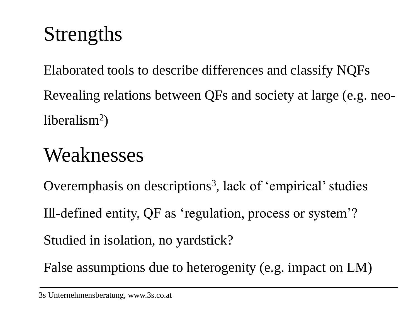# Strengths

Elaborated tools to describe differences and classify NQFs Revealing relations between QFs and society at large (e.g. neoliberalism<sup>2</sup>)

## Weaknesses

Overemphasis on descriptions<sup>3</sup>, lack of 'empirical' studies Ill-defined entity, QF as 'regulation, process or system'? Studied in isolation, no yardstick?

False assumptions due to heterogenity (e.g. impact on LM)

<sup>3</sup>s Unternehmensberatung, www.3s.co.at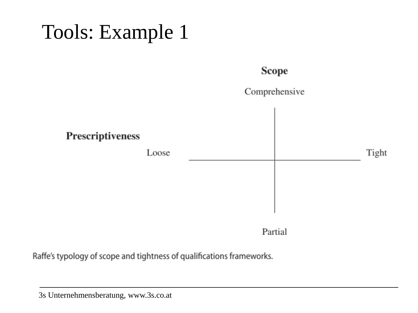## Tools: Example 1

#### **Scope**

Comprehensive Prescriptiveness Loose Tight

Partial

Raffe's typology of scope and tightness of qualifications frameworks.

3s Unternehmensberatung, www.3s.co.at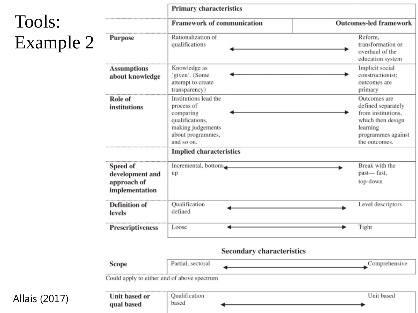#### Tools: Example 2

Allais (2017)

|                                                              | <b>Primary characteristics</b>                                                                                              |                                                                                                                                  |  |
|--------------------------------------------------------------|-----------------------------------------------------------------------------------------------------------------------------|----------------------------------------------------------------------------------------------------------------------------------|--|
|                                                              | <b>Framework of communication</b>                                                                                           | <b>Outcomes-led framework</b>                                                                                                    |  |
| Purpose                                                      | Rationalization of<br>qualifications                                                                                        | Reform.<br>transformation or<br>overhaul of the<br>education system                                                              |  |
| <b>Assumptions</b><br>about knowledge                        | Knowledge as<br>'given'. (Some<br>attempt to create<br>transparency)                                                        | Implicit social<br>constructionist:<br>outcomes are<br>primary                                                                   |  |
| Role of<br>institutions                                      | Institutions lead the<br>process of<br>comparing<br>qualifications,<br>making judgements<br>about programmes,<br>and so on. | Outcomes are<br>defined separately<br>from institutions,<br>which then design<br>learning<br>programmes against<br>the outcomes. |  |
|                                                              | <b>Implied characteristics</b>                                                                                              |                                                                                                                                  |  |
| Speed of<br>development and<br>approach of<br>implementation | Incremental, bottom<br>up                                                                                                   | Break with the<br>past-fast,<br>top-down                                                                                         |  |
| <b>Definition</b> of<br>levels                               | Qualification<br>defined                                                                                                    | Level descriptors                                                                                                                |  |
| Prescriptiveness                                             | Loose                                                                                                                       | Tight                                                                                                                            |  |
|                                                              | Secondary characteristics                                                                                                   |                                                                                                                                  |  |
| Scope                                                        | Partial, sectoral                                                                                                           | Comprehensive                                                                                                                    |  |

| Unit based or | Qualification | Unit based |
|---------------|---------------|------------|
| qual based    | based         |            |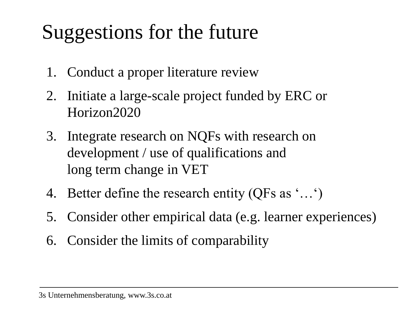# Suggestions for the future

- 1. Conduct a proper literature review
- 2. Initiate a large-scale project funded by ERC or Horizon2020
- 3. Integrate research on NQFs with research on development / use of qualifications and long term change in VET
- 4. Better define the research entity (QFs as '…')
- 5. Consider other empirical data (e.g. learner experiences)
- 6. Consider the limits of comparability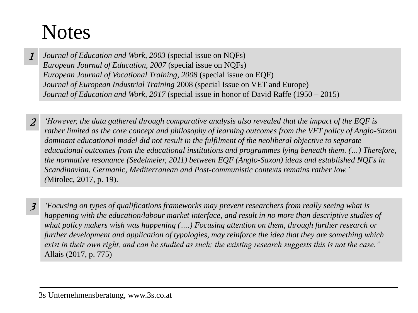#### **Notes**

- *Journal of Education and Work, 2003* (special issue on NQFs) *European Journal of Education, 2007* (special issue on NQFs) *European Journal of Vocational Training, 2008* (special issue on EQF) *Journal of European Industrial Training* 2008 (special Issue on VET and Europe) *Journal of Education and Work, 2017* (special issue in honor of David Raffe (1950 – 2015) 1
- *'However, the data gathered through comparative analysis also revealed that the impact of the EQF is rather limited as the core concept and philosophy of learning outcomes from the VET policy of Anglo-Saxon dominant educational model did not result in the fulfilment of the neoliberal objective to separate educational outcomes from the educational institutions and programmes lying beneath them. (…) Therefore, the normative resonance (Sedelmeier, 2011) between EQF (Anglo-Saxon) ideas and established NQFs in Scandinavian, Germanic, Mediterranean and Post-communistic contexts remains rather low.' (*Mirolec, 2017, p. 19). 2
- *'Focusing on types of qualifications frameworks may prevent researchers from really seeing what is happening with the education/labour market interface, and result in no more than descriptive studies of what policy makers wish was happening (….) Focusing attention on them, through further research or further development and application of typologies, may reinforce the idea that they are something which exist in their own right, and can be studied as such; the existing research suggests this is not the case."*  Allais (2017, p. 775) 3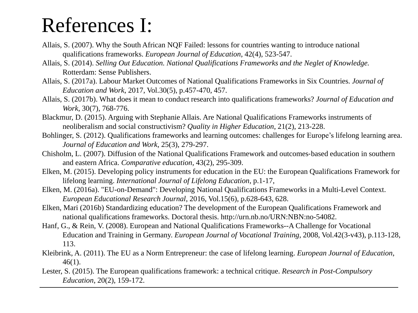#### References I:

- Allais, S. (2007). Why the South African NQF Failed: lessons for countries wanting to introduce national qualifications frameworks. *European Journal of Education*, 42(4), 523-547.
- Allais, S. (2014). *Selling Out Education. National Qualifications Frameworks and the Neglet of Knowledge.* Rotterdam: Sense Publishers.
- Allais, S. (2017a). Labour Market Outcomes of National Qualifications Frameworks in Six Countries. *Journal of Education and Work*, 2017, Vol.30(5), p.457-470, 457.
- Allais, S. (2017b). What does it mean to conduct research into qualifications frameworks? *Journal of Education and Work*, 30(7), 768-776.
- Blackmur, D. (2015). Arguing with Stephanie Allais. Are National Qualifications Frameworks instruments of neoliberalism and social constructivism? *Quality in Higher Education*, 21(2), 213-228.
- Bohlinger, S. (2012). Qualifications frameworks and learning outcomes: challenges for Europe's lifelong learning area. *Journal of Education and Work*, 25(3), 279-297.
- Chisholm, L. (2007). Diffusion of the National Qualifications Framework and outcomes‐based education in southern and eastern Africa. *Comparative education,* 43(2), 295-309.
- Elken, M. (2015). Developing policy instruments for education in the EU: the European Qualifications Framework for lifelong learning. *International Journal of Lifelong Education*, p.1-17,
- Elken, M. (2016a). "EU-on-Demand": Developing National Qualifications Frameworks in a Multi-Level Context. *European Educational Research Journal*, 2016, Vol.15(6), p.628-643, 628.
- Elken, Mari (2016b) Standardizing education? The development of the European Qualifications Framework and national qualifications frameworks. Doctoral thesis. http://urn.nb.no/URN:NBN:no-54082.
- Hanf, G., & Rein, V. (2008). European and National Qualifications Frameworks--A Challenge for Vocational Education and Training in Germany. *European Journal of Vocational Training*, 2008, Vol.42(3-v43), p.113-128, 113.
- Kleibrink, A. (2011). The EU as a Norm Entrepreneur: the case of lifelong learning. *European Journal of Education*, 46(1).
- Lester, S. (2015). The European qualifications framework: a technical critique. *Research in Post-Compulsory Education*, 20(2), 159-172.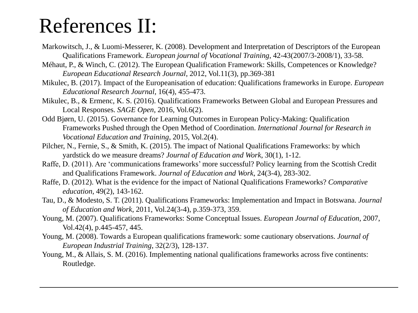#### References II:

- Markowitsch, J., & Luomi-Messerer, K. (2008). Development and Interpretation of Descriptors of the European Qualifications Framework. *European journal of Vocational Training*, 42-43(2007/3-2008/1), 33-58.
- Méhaut, P., & Winch, C. (2012). The European Qualification Framework: Skills, Competences or Knowledge? *European Educational Research Journal*, 2012, Vol.11(3), pp.369-381
- Mikulec, B. (2017). Impact of the Europeanisation of education: Qualifications frameworks in Europe. *European Educational Research Journal*, 16(4), 455-473.
- Mikulec, B., & Ermenc, K. S. (2016). Qualifications Frameworks Between Global and European Pressures and Local Responses. *SAGE Open*, 2016, Vol.6(2).
- Odd Bjørn, U. (2015). Governance for Learning Outcomes in European Policy-Making: Qualification Frameworks Pushed through the Open Method of Coordination. *International Journal for Research in Vocational Education and Training*, 2015, Vol.2(4).
- Pilcher, N., Fernie, S., & Smith, K. (2015). The impact of National Qualifications Frameworks: by which yardstick do we measure dreams? *Journal of Education and Work*, 30(1), 1-12.
- Raffe, D. (2011). Are 'communications frameworks' more successful? Policy learning from the Scottish Credit and Qualifications Framework. *Journal of Education and Work*, 24(3-4), 283-302.
- Raffe, D. (2012). What is the evidence for the impact of National Qualifications Frameworks? *Comparative education*, 49(2), 143-162.
- Tau, D., & Modesto, S. T. (2011). Qualifications Frameworks: Implementation and Impact in Botswana. *Journal of Education and Work*, 2011, Vol.24(3-4), p.359-373, 359.
- Young, M. (2007). Qualifications Frameworks: Some Conceptual Issues. *European Journal of Education,* 2007, Vol.42(4), p.445-457, 445.
- Young, M. (2008). Towards a European qualifications framework: some cautionary observations. *Journal of European Industrial Training*, 32(2/3), 128-137.
- Young, M., & Allais, S. M. (2016). Implementing national qualifications frameworks across five continents: Routledge.